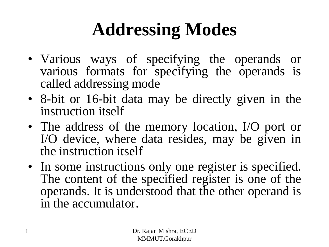# **Addressing Modes**

- Various ways of specifying the operands or various formats for specifying the operands is called addressing mode
- 8-bit or 16-bit data may be directly given in the instruction itself
- The address of the memory location, I/O port or I/O device, where data resides, may be given in the instruction itself
- In some instructions only one register is specified. The content of the specified register is one of the operands. It is understood that the other operand is in the accumulator.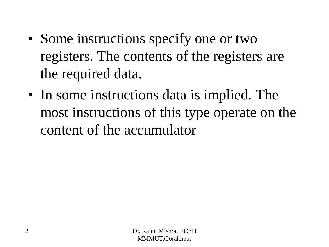- Some instructions specify one or two registers. The contents of the registers are the required data.
- In some instructions data is implied. The most instructions of this type operate on the content of the accumulator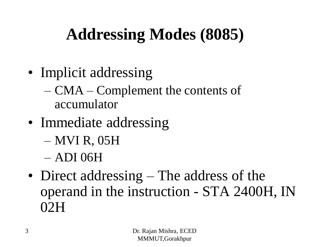# **Addressing Modes (8085)**

- Implicit addressing
	- CMA Complement the contents of accumulator
- Immediate addressing
	- MVI R, 05H
	- ADI 06H
- Direct addressing The address of the operand in the instruction - STA 2400H, IN 02H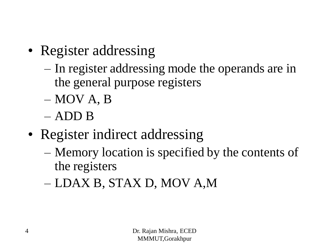- Register addressing
	- In register addressing mode the operands are in the general purpose registers
	- MOV A, B
	- ADD B
- Register indirect addressing
	- Memory location is specified by the contents of the registers
	- LDAX B, STAX D, MOV A,M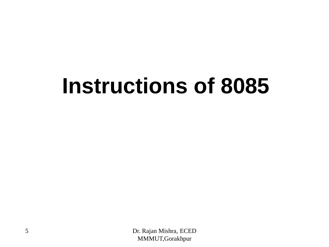# **Instructions of 8085**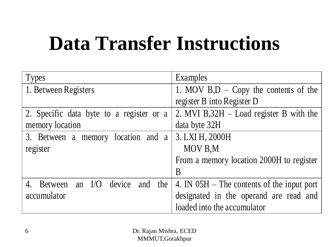# **Data Transfer Instructions**

| <b>Types</b>                             | Examples                                      |
|------------------------------------------|-----------------------------------------------|
| 1. Between Registers                     | 1. MOV $B,D - Copy$ the contents of the       |
|                                          | register B into Register D                    |
| 2. Specific data byte to a register or a | 2. MVI $B$ , $32H -$ Load register B with the |
| memory location                          | data byte 32H                                 |
| 3. Between a memory location and a       | 3. LXI H, 2000H                               |
| register                                 | MOV B,M                                       |
|                                          | From a memory location 2000H to register      |
|                                          | B                                             |
| Between an I/O device and the<br>4.      | 4. IN $05H$ – The contents of the input port  |
| accumulator                              | designated in the operand are read and        |
|                                          | loaded into the accumulator                   |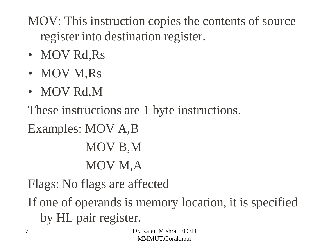MOV: This instruction copies the contents of source register into destination register.

- MOV Rd, Rs
- MOV M,Rs
- MOV Rd,M

These instructions are 1 byte instructions.

Examples: MOV A,B MOV B,M

MOV M,A

Flags: No flags are affected

If one of operands is memory location, it is specified by HL pair register.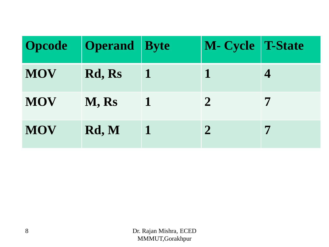| <b>Opcode</b> | <b>Operand</b> Byte |   | M- Cycle T-State |   |
|---------------|---------------------|---|------------------|---|
| <b>MOV</b>    | Rd, Rs              | 1 |                  |   |
| <b>MOV</b>    | M, Rs               |   | $\overline{2}$   |   |
| <b>MOV</b>    | Rd, M               |   | $\mathbf{2}$     | 7 |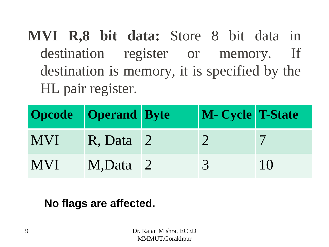**MVI R,8 bit data:** Store 8 bit data in destination register or memory. If destination is memory, it is specified by the HL pair register.

|            | <b>Opcode Operand</b> Byte | M- Cycle T-State |    |
|------------|----------------------------|------------------|----|
| <b>MVI</b> | <b>R.</b> Data 2           | $\mathcal{D}$    |    |
| <b>MVI</b> | M,Data 2                   | $\sqrt{37}$      | 10 |

#### **No flags are affected.**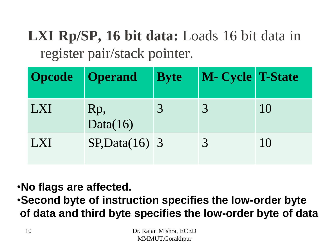# **LXI Rp/SP, 16 bit data:** Loads 16 bit data in register pair/stack pointer.

| <b>Opcode Operand</b>        |                  | <b>Byte</b> | <b>M- Cycle T-State</b> |    |
|------------------------------|------------------|-------------|-------------------------|----|
| $\boldsymbol{\mathsf{I}}$ XI | Rp,<br>Data(16)  |             |                         | 10 |
| LXI                          | $SP, Data(16)$ 3 |             | $\mathcal{R}$           | 10 |

•**No flags are affected.** •**Second byte of instruction specifies the low-order byte of data and third byte specifies the low-order byte of data**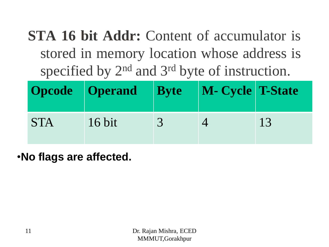**STA 16 bit Addr:** Content of accumulator is stored in memory location whose address is specified by 2<sup>nd</sup> and 3<sup>rd</sup> byte of instruction.

|            | <b>Opcode Operand Byte</b> | <b>M- Cycle T-State</b> |    |
|------------|----------------------------|-------------------------|----|
| <b>STA</b> | $16$ bit                   |                         | 13 |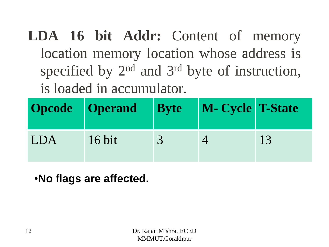**LDA 16 bit Addr:** Content of memory location memory location whose address is specified by 2<sup>nd</sup> and 3<sup>rd</sup> byte of instruction, is loaded in accumulator.

|            | Opcode Operand | <b>Byte</b> M- Cycle T-State |    |
|------------|----------------|------------------------------|----|
| <b>LDA</b> | $16$ bit       |                              | 13 |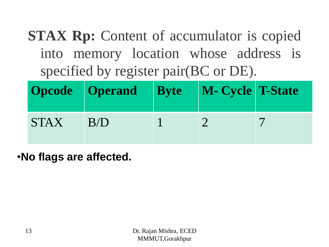**STAX Rp:** Content of accumulator is copied into memory location whose address is specified by register pair(BC or DE).

|             | <b>Opcode Operand Byte</b> | M- Cycle T-State |  |
|-------------|----------------------------|------------------|--|
| <b>STAX</b> | B/D                        |                  |  |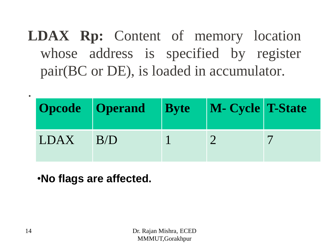**LDAX Rp:** Content of memory location whose address is specified by register pair(BC or DE), is loaded in accumulator.

|        | Opcode   Operand   Byte   M- Cycle   T-State |  |  |
|--------|----------------------------------------------|--|--|
| LDAX 1 | B/D                                          |  |  |

•**No flags are affected.**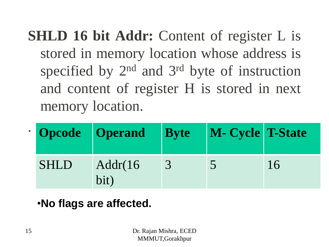**SHLD 16 bit Addr:** Content of register L is stored in memory location whose address is specified by 2<sup>nd</sup> and 3<sup>rd</sup> byte of instruction and content of register H is stored in next memory location.

|             | Opcode Operand Byte |               | M- Cycle T-State |    |
|-------------|---------------------|---------------|------------------|----|
| <b>SHLD</b> | Addr(16<br>bit)     | $\mathcal{R}$ |                  | 16 |

## •**No flags are affected.**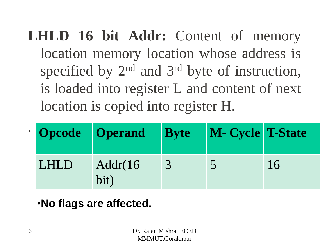**LHLD 16 bit Addr:** Content of memory location memory location whose address is specified by 2<sup>nd</sup> and 3<sup>rd</sup> byte of instruction, is loaded into register L and content of next location is copied into register H.

|      | <b>Opcode Operand Byte</b> |               | M- Cycle T-State |    |
|------|----------------------------|---------------|------------------|----|
| LHLD | Addr(16<br>bit)            | $\mathcal{R}$ |                  | 16 |

## •**No flags are affected.**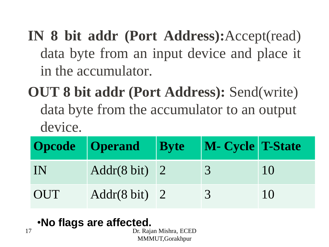**IN 8 bit addr (Port Address):**Accept(read) data byte from an input device and place it in the accumulator.

**OUT 8 bit addr (Port Address):** Send(write) data byte from the accumulator to an output device.

|     | <b>Opcode Operand Byte</b>     | M- Cycle T-State |           |
|-----|--------------------------------|------------------|-----------|
| IN  | Addr $(8 \text{ bit})$ 2       | $\mathcal{R}$    | 10        |
| OUT | $\text{Addr}(8 \text{ bit})$ 2 | $\mathcal{R}$    | $\bigcup$ |

|  | .No flags are affected. |
|--|-------------------------|
|  | Dr. Raja                |

ujan Mishra, ECED MMMUT,Gorakhpur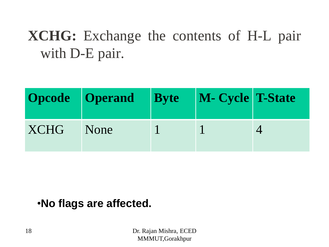# **XCHG:** Exchange the contents of H-L pair with D-E pair.

|      | <b>Opcode Operand</b> Byte | M- Cycle T-State |  |
|------|----------------------------|------------------|--|
| XCHG | None                       |                  |  |

#### •**No flags are affected.**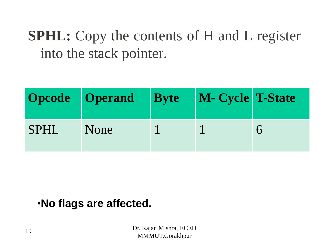**SPHL:** Copy the contents of H and L register into the stack pointer.

|             | Opcode Operand | <b>Byte</b> | M- Cycle T-State |  |
|-------------|----------------|-------------|------------------|--|
| <b>SPHL</b> | None           |             |                  |  |

#### •**No flags are affected.**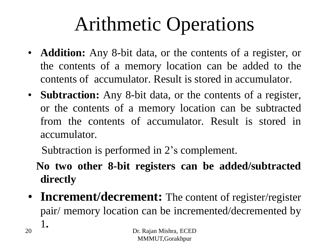# Arithmetic Operations

- **Addition:** Any 8-bit data, or the contents of a register, or the contents of a memory location can be added to the contents of accumulator. Result is stored in accumulator.
- **Subtraction:** Any 8-bit data, or the contents of a register, or the contents of a memory location can be subtracted from the contents of accumulator. Result is stored in accumulator.

Subtraction is performed in 2's complement.

**No two other 8-bit registers can be added/subtracted directly**

• **Increment/decrement:** The content of register/register pair/ memory location can be incremented/decremented by 1**.**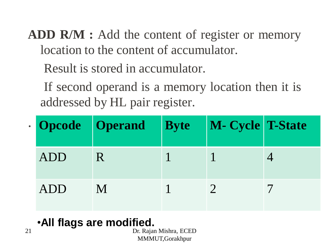- **ADD R/M :** Add the content of register or memory location to the content of accumulator.
	- Result is stored in accumulator.
	- If second operand is a memory location then it is addressed by HL pair register.

|     | <b>Opcode Operand</b> | <b>Byte</b> | M- Cycle T-State |  |
|-----|-----------------------|-------------|------------------|--|
| ADD | R                     |             |                  |  |
| ADD | M                     |             |                  |  |

# •**All flags are modified.**

Dr. Rajan Mishra, ECED MMMUT,Gorakhpur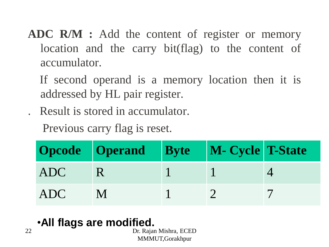- **ADC R/M :** Add the content of register or memory location and the carry bit(flag) to the content of accumulator.
	- If second operand is a memory location then it is addressed by HL pair register.
	- . Result is stored in accumulator.

Previous carry flag is reset.

|            | Opcode Operand Byte M- Cycle T-State |  |  |
|------------|--------------------------------------|--|--|
| ADC        | <b>ART</b>                           |  |  |
| <b>ADC</b> |                                      |  |  |

## •**All flags are modified.**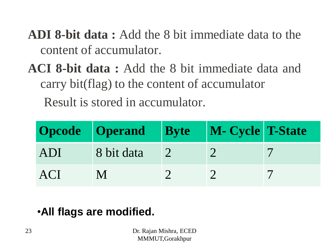**ADI 8-bit data :** Add the 8 bit immediate data to the content of accumulator.

**ACI 8-bit data :** Add the 8 bit immediate data and carry bit(flag) to the content of accumulator Result is stored in accumulator.

|     | Opcode Operand Byte | M- Cycle T-State |  |
|-----|---------------------|------------------|--|
| ADI | 8 bit data          |                  |  |
| ACI |                     |                  |  |

## •**All flags are modified.**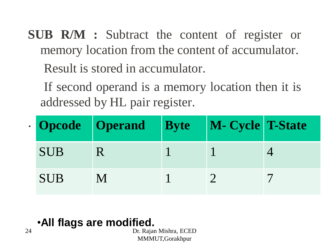- **SUB R/M :** Subtract the content of register or memory location from the content of accumulator. Result is stored in accumulator.
	- If second operand is a memory location then it is addressed by HL pair register.

|            | <b>Opcode Operand Byte</b> | M- Cycle T-State |  |
|------------|----------------------------|------------------|--|
| <b>SUB</b> |                            |                  |  |
| <b>SUB</b> |                            |                  |  |

•**All flags are modified.**

Dr. Rajan Mishra, ECED MMMUT,Gorakhpur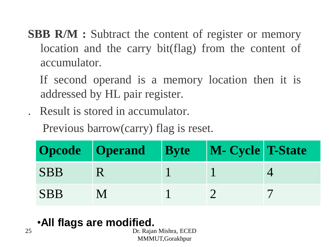- **SBB R/M :** Subtract the content of register or memory location and the carry bit(flag) from the content of accumulator.
	- If second operand is a memory location then it is addressed by HL pair register.

. Result is stored in accumulator.

Previous barrow(carry) flag is reset.

|            | Opcode Operand Byte M- Cycle T-State |  |  |
|------------|--------------------------------------|--|--|
| <b>SBB</b> |                                      |  |  |
| <b>SBB</b> |                                      |  |  |

# •**All flags are modified.**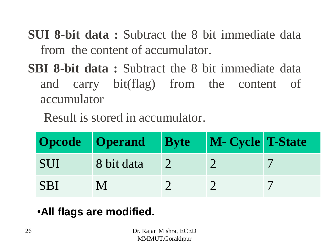**SUI 8-bit data :** Subtract the 8 bit immediate data from the content of accumulator.

**SBI 8-bit data :** Subtract the 8 bit immediate data and carry bit(flag) from the content of accumulator

Result is stored in accumulator.

|            | Opcode Operand Byte | M- Cycle T-State |  |
|------------|---------------------|------------------|--|
| <b>SUI</b> | 8 bit data          |                  |  |
| <b>SBI</b> |                     |                  |  |

# •**All flags are modified.**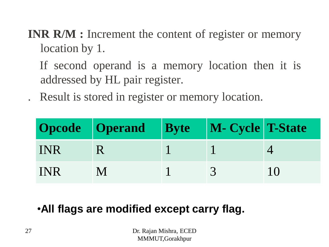**INR R/M :** Increment the content of register or memory location by 1.

If second operand is a memory location then it is addressed by HL pair register.

. Result is stored in register or memory location.

|            | Opcode   Operand   Byte   M- Cycle T-State |  |     |
|------------|--------------------------------------------|--|-----|
| <b>INR</b> |                                            |  |     |
| <b>INR</b> |                                            |  | 1() |

## •**All flags are modified except carry flag.**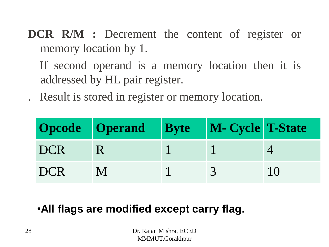**DCR R/M :** Decrement the content of register or memory location by 1.

If second operand is a memory location then it is addressed by HL pair register.

. Result is stored in register or memory location.

|            | Opcode   Operand   Byte   M- Cycle   T-State |  |           |
|------------|----------------------------------------------|--|-----------|
| <b>DCR</b> | TR.                                          |  |           |
| <b>DCR</b> |                                              |  | $\bigcup$ |

### •**All flags are modified except carry flag.**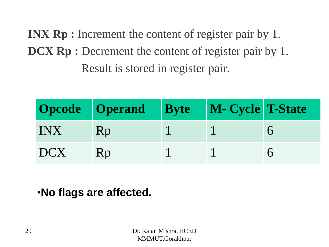**INX Rp :** Increment the content of register pair by 1. **DCX Rp :** Decrement the content of register pair by 1. Result is stored in register pair.

|       | Opcode Operand Byte M- Cycle T-State |  |  |
|-------|--------------------------------------|--|--|
| INX I | Rp                                   |  |  |
| DCX   | Rp                                   |  |  |